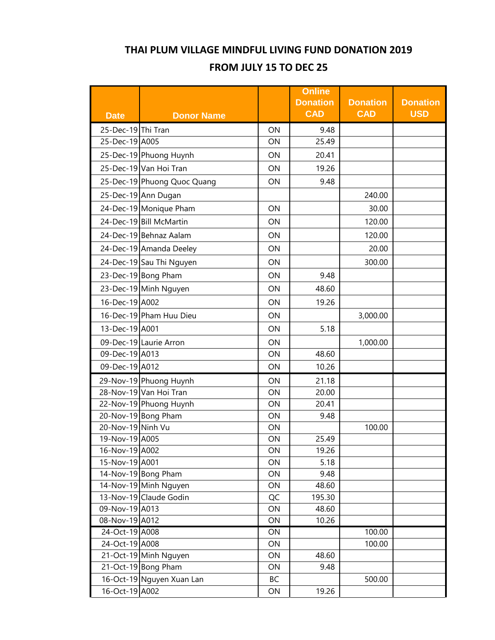## **FROM JULY 15 TO DEC 25 THAI PLUM VILLAGE MINDFUL LIVING FUND DONATION 2019**

|                    |                             |    | <b>Online</b><br><b>Donation</b> | <b>Donation</b> | <b>Donation</b> |
|--------------------|-----------------------------|----|----------------------------------|-----------------|-----------------|
| <b>Date</b>        | <b>Donor Name</b>           |    | <b>CAD</b>                       | <b>CAD</b>      | <b>USD</b>      |
| 25-Dec-19 Thi Tran |                             | ON | 9.48                             |                 |                 |
| 25-Dec-19 A005     |                             | ON | 25.49                            |                 |                 |
|                    | 25-Dec-19 Phuong Huynh      | ON | 20.41                            |                 |                 |
|                    | 25-Dec-19 Van Hoi Tran      | ON | 19.26                            |                 |                 |
|                    | 25-Dec-19 Phuong Quoc Quang | ON | 9.48                             |                 |                 |
|                    | 25-Dec-19 Ann Dugan         |    |                                  | 240.00          |                 |
|                    | 24-Dec-19 Monique Pham      | ON |                                  | 30.00           |                 |
|                    | 24-Dec-19 Bill McMartin     | ON |                                  | 120.00          |                 |
|                    | 24-Dec-19 Behnaz Aalam      | ON |                                  | 120.00          |                 |
|                    | 24-Dec-19 Amanda Deeley     | ON |                                  | 20.00           |                 |
|                    | 24-Dec-19 Sau Thi Nguyen    | ON |                                  | 300.00          |                 |
|                    | 23-Dec-19 Bong Pham         | ON | 9.48                             |                 |                 |
|                    | 23-Dec-19 Minh Nguyen       | ON | 48.60                            |                 |                 |
| 16-Dec-19 A002     |                             | ON | 19.26                            |                 |                 |
|                    | 16-Dec-19 Pham Huu Dieu     | ON |                                  | 3,000.00        |                 |
| 13-Dec-19 A001     |                             | ON | 5.18                             |                 |                 |
|                    | 09-Dec-19 Laurie Arron      | ON |                                  | 1,000.00        |                 |
| 09-Dec-19 A013     |                             | ON | 48.60                            |                 |                 |
| 09-Dec-19 A012     |                             | ON | 10.26                            |                 |                 |
|                    | 29-Nov-19 Phuong Huynh      | ON | 21.18                            |                 |                 |
|                    | 28-Nov-19 Van Hoi Tran      | ON | 20.00                            |                 |                 |
|                    | 22-Nov-19 Phuong Huynh      | ON | 20.41                            |                 |                 |
|                    | 20-Nov-19 Bong Pham         | ON | 9.48                             |                 |                 |
| 20-Nov-19 Ninh Vu  |                             | ON |                                  | 100.00          |                 |
| 19-Nov-19 A005     |                             | ON | 25.49                            |                 |                 |
| 16-Nov-19 A002     |                             | ON | 19.26                            |                 |                 |
| 15-Nov-19 A001     |                             | ON | 5.18                             |                 |                 |
|                    | 14-Nov-19 Bong Pham         | ON | 9.48                             |                 |                 |
|                    | 14-Nov-19 Minh Nguyen       | ON | 48.60                            |                 |                 |
|                    | 13-Nov-19 Claude Godin      | QC | 195.30                           |                 |                 |
| 09-Nov-19 A013     |                             | ON | 48.60                            |                 |                 |
| 08-Nov-19 A012     |                             | ON | 10.26                            |                 |                 |
| 24-Oct-19 A008     |                             | ON |                                  | 100.00          |                 |
| 24-Oct-19 A008     |                             | ON |                                  | 100.00          |                 |
|                    | 21-Oct-19 Minh Nguyen       | ON | 48.60                            |                 |                 |
|                    | 21-Oct-19 Bong Pham         | ON | 9.48                             |                 |                 |
|                    | 16-Oct-19 Nguyen Xuan Lan   | ВC |                                  | 500.00          |                 |
| 16-Oct-19 A002     |                             | ON | 19.26                            |                 |                 |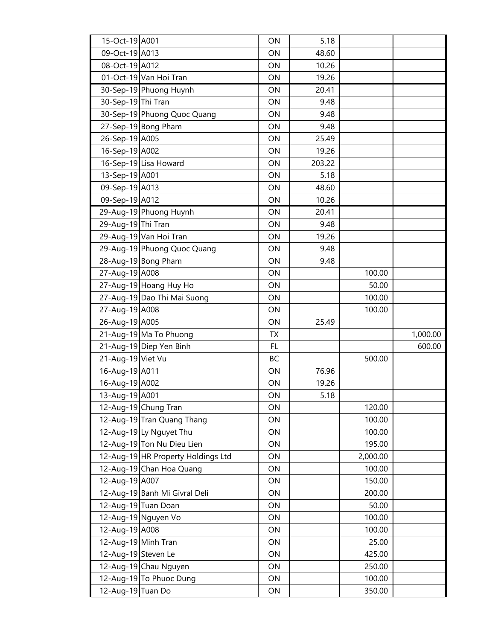| 15-Oct-19 A001      |                                    | ON  | 5.18   |          |          |
|---------------------|------------------------------------|-----|--------|----------|----------|
| 09-Oct-19 A013      |                                    | ON  | 48.60  |          |          |
| 08-Oct-19 A012      |                                    | ON  | 10.26  |          |          |
|                     | 01-Oct-19 Van Hoi Tran             | ON  | 19.26  |          |          |
|                     | 30-Sep-19 Phuong Huynh             | ON  | 20.41  |          |          |
| 30-Sep-19 Thi Tran  |                                    | ON  | 9.48   |          |          |
|                     | 30-Sep-19 Phuong Quoc Quang        | ON  | 9.48   |          |          |
|                     | 27-Sep-19 Bong Pham                | ON  | 9.48   |          |          |
| 26-Sep-19 A005      |                                    | ON  | 25.49  |          |          |
| 16-Sep-19 A002      |                                    | ON  | 19.26  |          |          |
|                     | 16-Sep-19 Lisa Howard              | ON  | 203.22 |          |          |
| 13-Sep-19 A001      |                                    | ON  | 5.18   |          |          |
| 09-Sep-19 A013      |                                    | ON  | 48.60  |          |          |
| 09-Sep-19 A012      |                                    | ON  | 10.26  |          |          |
|                     | 29-Aug-19 Phuong Huynh             | ON  | 20.41  |          |          |
| 29-Aug-19 Thi Tran  |                                    | ON  | 9.48   |          |          |
|                     | 29-Aug-19 Van Hoi Tran             | ON  | 19.26  |          |          |
|                     | 29-Aug-19 Phuong Quoc Quang        | ON  | 9.48   |          |          |
|                     | 28-Aug-19 Bong Pham                | ON  | 9.48   |          |          |
| 27-Aug-19 A008      |                                    | ON  |        | 100.00   |          |
|                     | 27-Aug-19 Hoang Huy Ho             | ON  |        | 50.00    |          |
|                     | 27-Aug-19 Dao Thi Mai Suong        | ON  |        | 100.00   |          |
| 27-Aug-19 A008      |                                    | ON  |        | 100.00   |          |
| 26-Aug-19 A005      |                                    | ON  | 25.49  |          |          |
|                     | 21-Aug-19 Ma To Phuong             | TX  |        |          | 1,000.00 |
|                     | 21-Aug-19 Diep Yen Binh            | FL. |        |          | 600.00   |
| 21-Aug-19 Viet Vu   |                                    | BC  |        | 500.00   |          |
| 16-Aug-19 A011      |                                    | ON  | 76.96  |          |          |
| 16-Aug-19 A002      |                                    | ON  | 19.26  |          |          |
| 13-Aug-19 A001      |                                    | ON  | 5.18   |          |          |
|                     | 12-Aug-19 Chung Tran               | ON  |        | 120.00   |          |
|                     | 12-Aug-19 Tran Quang Thang         | ON  |        | 100.00   |          |
|                     | 12-Aug-19 Ly Nguyet Thu            | ON  |        | 100.00   |          |
|                     | 12-Aug-19 Ton Nu Dieu Lien         | ON  |        | 195.00   |          |
|                     | 12-Aug-19 HR Property Holdings Ltd | ON  |        | 2,000.00 |          |
|                     | 12-Aug-19 Chan Hoa Quang           | ON  |        | 100.00   |          |
| 12-Aug-19 A007      |                                    | ON  |        | 150.00   |          |
|                     | 12-Aug-19 Banh Mi Givral Deli      | ON  |        | 200.00   |          |
|                     | 12-Aug-19 Tuan Doan                | ON  |        | 50.00    |          |
|                     | 12-Aug-19 Nguyen Vo                | ON  |        | 100.00   |          |
| 12-Aug-19 A008      |                                    | ON  |        | 100.00   |          |
|                     | 12-Aug-19 Minh Tran                | ON  |        | 25.00    |          |
| 12-Aug-19 Steven Le |                                    | ON  |        | 425.00   |          |
|                     | 12-Aug-19 Chau Nguyen              | ON  |        | 250.00   |          |
|                     | 12-Aug-19 To Phuoc Dung            | ON  |        | 100.00   |          |
| 12-Aug-19 Tuan Do   |                                    | ON  |        | 350.00   |          |
|                     |                                    |     |        |          |          |